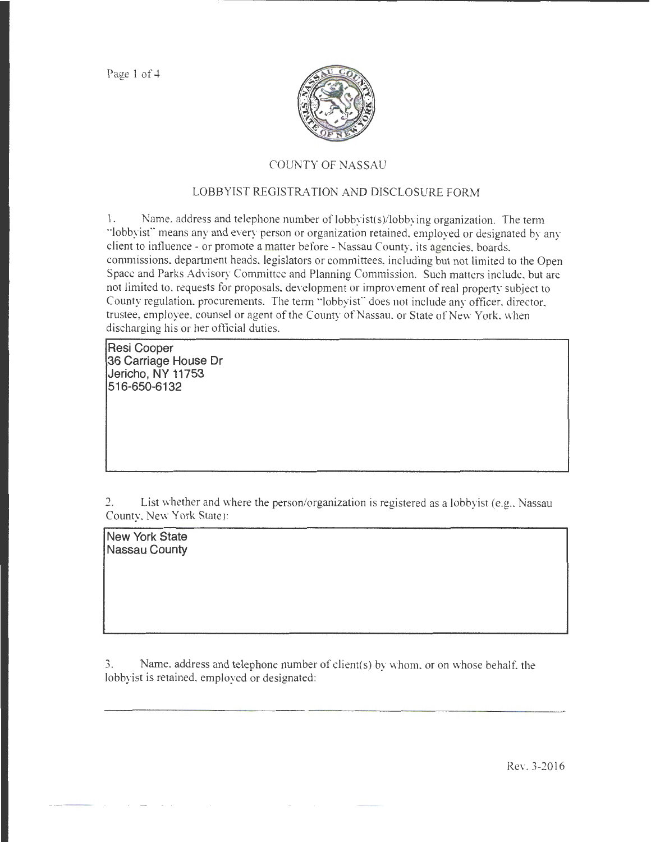Page 1 of 4



## COUNTY OF NASSAU

## LOBBYIST REGISTRATION AND DISCLOSURE FORM

1. Name. address and telephone number of lobbyist(s)/lobbying organization. The term "lobbyist" means any and every person or organization retained, employed or designated by any client to influence- or promote a matter before- Nassau County, its agencies, boards, commissions, department heads, legislators or committees, including but not limited to the Open Space and Parks Advisory Committee and Planning Commission. Such matters include, but arc not limited to, requests for proposals, development or improvement of real property subject to County regulation, procurements. The term "lobbyist" does not include any officer, director, trustee, employee, counsel or agent of the County of Nassau, or State of New York, when discharging his or her official duties.

**Resi Cooper 36 Carriage House Dr Jericho, NY 11753 516-650-6132** 

2. List whether and where the person/organization is registered as a lobbyist (e.g., Nassau County, New York State):

**New York State Nassau County** 

3. Name, address and telephone number of client(s) by whom, or on whose behalf, the lobbyist is retained, employed or designated:

Rev. 3-2016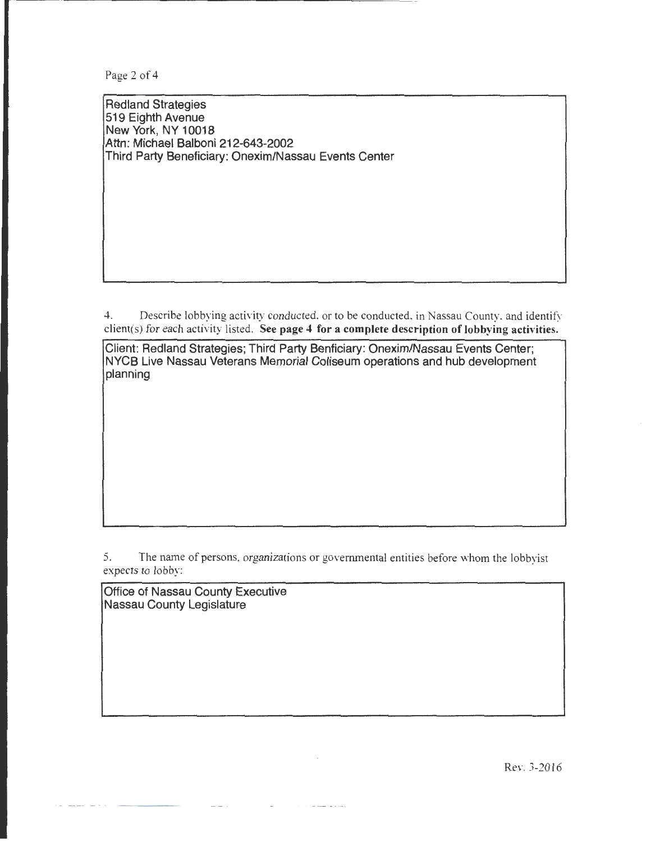Page 2 of 4

Redland Strategies 519 Eighth Avenue New York, NY 10018 Attn: Michael Balboni 212-643-2002 Third Party Beneficiary: Onexim/Nassau Events Center

4. Describe lobbying activity conducted, or to be conducted, in Nassau County, and identify client(s) for each activity listed. See page 4 for a complete description of lobbying activities.

Client: Redland Strategies; Third Party Benficiary: Onexim/Nassau Events Center; NYCB Live Nassau Veterans Memorial Coliseum operations and hub development planning

5. The name of persons, organizations or governmental entities before whom the lobbyist expects to lobby:

Office of Nassau County Executive Nassau County Legislature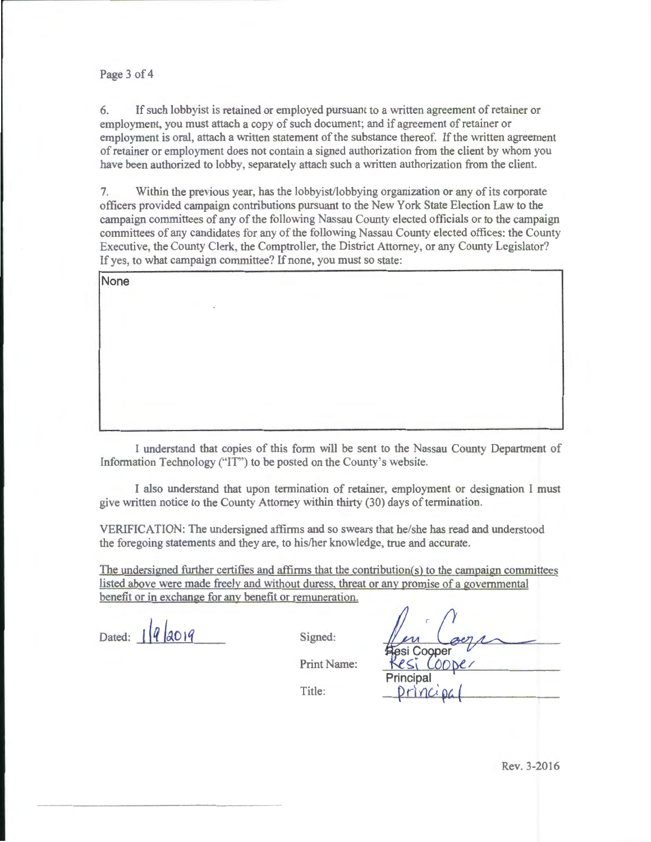## Page 3 of 4

6. If such lobbyist is retained or employed pursuant to a written agreement of retainer or employment, you must attach a copy of such document; and if agreement of retainer or employment is oral, attach a written statement of the substance thereof. If the written agreement of retainer or employment does not contain a signed authorization from the client by whom you have been authorized to lobby. separately attach such a written authorization from the client.

7. Within the previous year, has the lobbyist/lobbying organization or any of its corporate officers provided campaign contributions pursuant to the New York State Election Law to the campaign committees of any of the following Nassau County elected officials or to the campaign committees of any candidates tor any of the following Nassau County elected offices: the County Executive, the County Clerk, the Comptroller, the District Attorney, or any County Legislator? If yes, to what campaign committee? If none, you must so state:

None

I understand that copies of this form will be sent to the Nassau County Department of Information Technology ("IT") to be posted on the County's website.

I also understand that upon termination of retainer, employment or designation I must give written notice to the County Attorney within thirty (30) days of termination.

VERIFICATION: The undersigned affirms and so swears that he/she has read and understood the foregoing statements and they are, to his/her knowledge, true and accurate.

The undersigned further certifies and affirms that the contribution $(s)$  to the campaign committees listed above were made freely and without duress. threat or any promise of a governmental benefit or in exchange for any benefit or remuneration.

Dated:  $\frac{1}{4} \left| \frac{q}{40} \right| q$  Signed:

Cooper Principal

Print Name:

 $T$ itle:  $P$ rincipa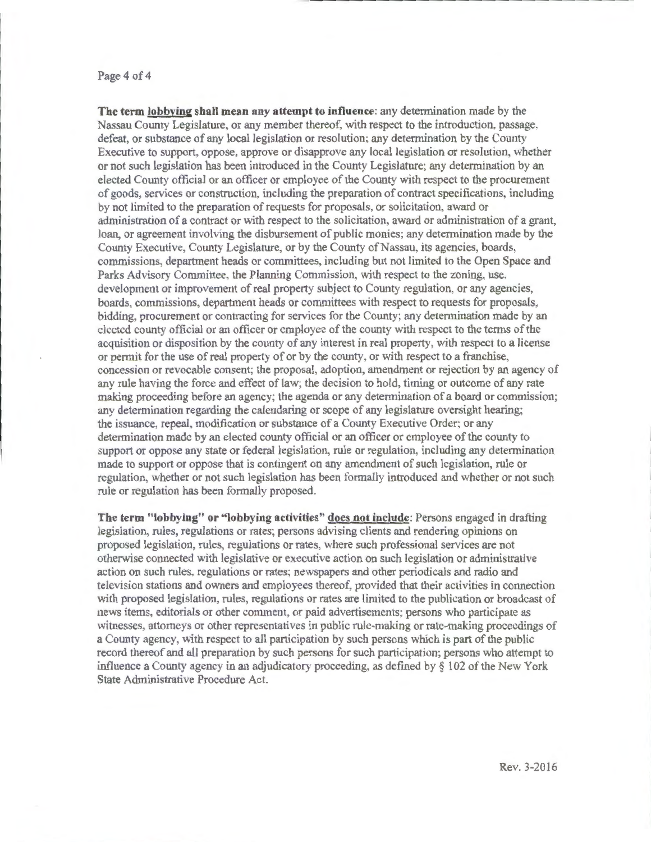## Page 4 of 4

**The term lobbying shall mean any attempt to influence:** any determination made by the Nassau County Legislature, or any member thereof, with respect to the introduction, passage. defeat, or substance of any local legislation or resolution; any determination by the County Executive to support, oppose, approve or disapprove any local legislation or resolution, whether or not such legislation has been introduced in the County Legislature; any determination by an elected County official or an officer or employee of the County with respect to the procurement of goods, services or construction, including the preparation of contract specifications, including by not limited to the preparation of requests for proposals, or solicitation, award or administration of a contract or with respect to the solicitation, award or administration of a grant. loan, or agreement involving the disbursement of public monies; any determination made by the County Executive, County Legislature, or by the County of Nassau, its agencies, boards, commissions, department heads or committees, including but not limited to the Open Space and Parks Advisory Committee, the Planning Commission. with respect to the zoning, use, development or improvement of real property subject to County regulation, or any agencies, boards, commissions, department heads or committees with respect to requests for proposals, bidding, procurement or contracting for services for the County; any determination made by an elected county official or an officer or employee of the county with respect to the terms of the acquisition or disposition by the county of any interest in real property, with respect to a license or permit for the use of real property of or by the county, or with respect to a franchise, concession or revocable consent; the proposal, adoption, amendment or rejection by an agency of any rule having the force and effect of law; the decision to hold, timing or outcome of any rate making proceeding before an agency; the agenda or any determination of a board or commission: any determination regarding the calendaring or scope of any legislature oversight hearing; the issuance, repeal. modification or substance of a County Executive Order; or any determination made by an elected county official or an officer or employee of the county to support or oppose any state or federal legislation, rule or regulation, including any determination made to support or oppose that is contingent on any amendment of such legislation, rule or regulation, whether or not such legislation has been formally introduced and whether or not such rule or regulation has been formally proposed.

**The term "lobbying" or "lobbying activities" does not include:** Persons engaged in drafting legislation, rules, regulations or rates; persons advising clients and rendering opinions on proposed legislation, rules, regulations or rates, where such professional services are not otherwise connected with legislative or executive action on such legislation or administrative action on such rules, regulations or rates; newspapers and other periodicals and radio and television stations and owners and employees thereof, provided that their activities in connection with proposed legislation, rules, regulations or rates are limited to the publication or broadcast of news items, editorials or other comment, or paid advertisements; persons who participate as witnesses, attorneys or other representatives in public rule-making or rate-making proceedings of a County agency, with respect to all participation by such persons which is part of the public record thereof and all preparation by such persons for such participation; persons who attempt to influence a County agency in an adjudicatory proceeding, as defined by  $\S 102$  of the New York State Administrative Procedure Act.